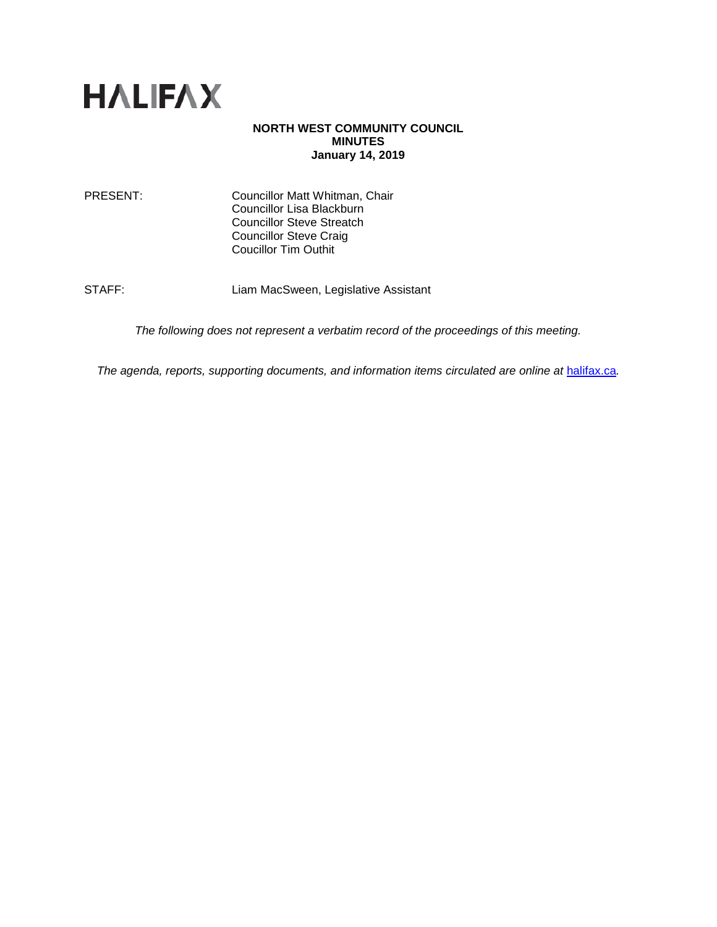

## **NORTH WEST COMMUNITY COUNCIL MINUTES January 14, 2019**

PRESENT: Councillor Matt Whitman, Chair Councillor Lisa Blackburn Councillor Steve Streatch Councillor Steve Craig Coucillor Tim Outhit

STAFF: Liam MacSween, Legislative Assistant

*The following does not represent a verbatim record of the proceedings of this meeting.*

*The agenda, reports, supporting documents, and information items circulated are online at [halifax.ca](http://www.halifax.ca/).*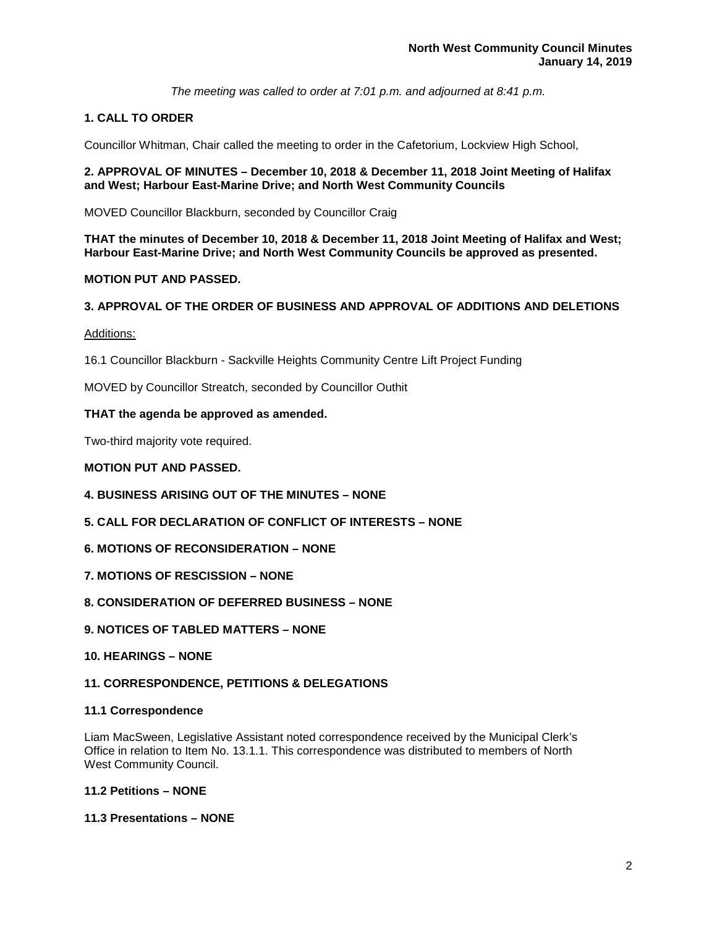*The meeting was called to order at 7:01 p.m. and adjourned at 8:41 p.m.*

# **1. CALL TO ORDER**

Councillor Whitman, Chair called the meeting to order in the Cafetorium, Lockview High School,

## **2. APPROVAL OF MINUTES – December 10, 2018 & December 11, 2018 Joint Meeting of Halifax and West; Harbour East-Marine Drive; and North West Community Councils**

MOVED Councillor Blackburn, seconded by Councillor Craig

**THAT the minutes of December 10, 2018 & December 11, 2018 Joint Meeting of Halifax and West; Harbour East-Marine Drive; and North West Community Councils be approved as presented.** 

# **MOTION PUT AND PASSED.**

# **3. APPROVAL OF THE ORDER OF BUSINESS AND APPROVAL OF ADDITIONS AND DELETIONS**

## Additions:

16.1 Councillor Blackburn - Sackville Heights Community Centre Lift Project Funding

MOVED by Councillor Streatch, seconded by Councillor Outhit

# **THAT the agenda be approved as amended.**

Two-third majority vote required.

# **MOTION PUT AND PASSED.**

- **4. BUSINESS ARISING OUT OF THE MINUTES – NONE**
- **5. CALL FOR DECLARATION OF CONFLICT OF INTERESTS – NONE**
- **6. MOTIONS OF RECONSIDERATION – NONE**
- **7. MOTIONS OF RESCISSION – NONE**
- **8. CONSIDERATION OF DEFERRED BUSINESS – NONE**
- **9. NOTICES OF TABLED MATTERS – NONE**
- **10. HEARINGS – NONE**

# **11. CORRESPONDENCE, PETITIONS & DELEGATIONS**

## **11.1 Correspondence**

Liam MacSween, Legislative Assistant noted correspondence received by the Municipal Clerk's Office in relation to Item No. 13.1.1. This correspondence was distributed to members of North West Community Council.

# **11.2 Petitions – NONE**

# **11.3 Presentations – NONE**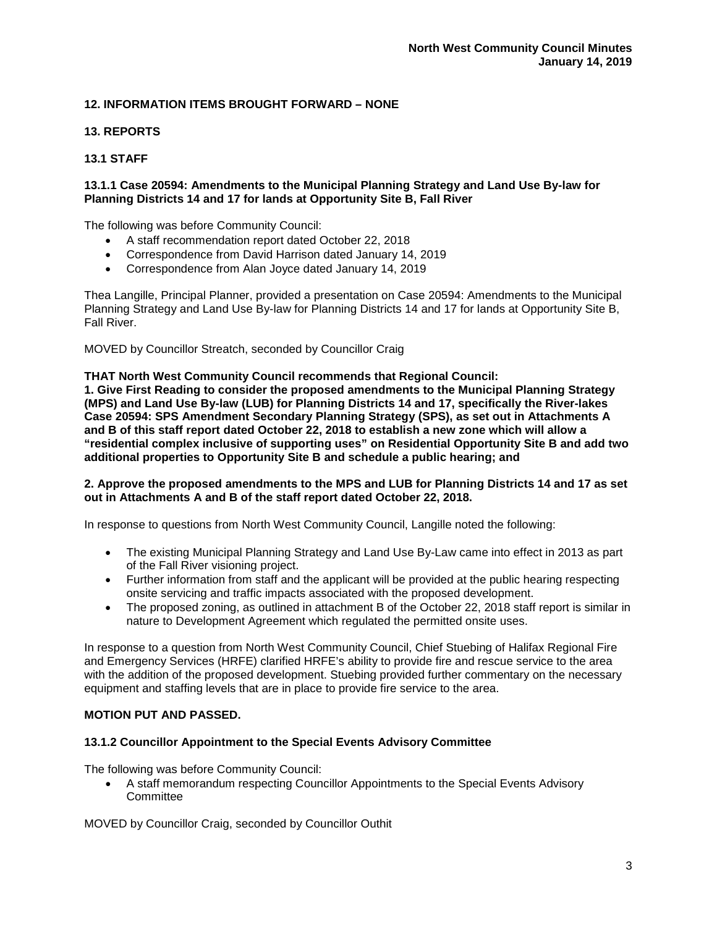# **12. INFORMATION ITEMS BROUGHT FORWARD – NONE**

# **13. REPORTS**

# **13.1 STAFF**

## **13.1.1 Case 20594: Amendments to the Municipal Planning Strategy and Land Use By-law for Planning Districts 14 and 17 for lands at Opportunity Site B, Fall River**

The following was before Community Council:

- A staff recommendation report dated October 22, 2018
- Correspondence from David Harrison dated January 14, 2019
- Correspondence from Alan Joyce dated January 14, 2019

Thea Langille, Principal Planner, provided a presentation on Case 20594: Amendments to the Municipal Planning Strategy and Land Use By-law for Planning Districts 14 and 17 for lands at Opportunity Site B, Fall River.

MOVED by Councillor Streatch, seconded by Councillor Craig

**THAT North West Community Council recommends that Regional Council:**

**1. Give First Reading to consider the proposed amendments to the Municipal Planning Strategy (MPS) and Land Use By-law (LUB) for Planning Districts 14 and 17, specifically the River-lakes Case 20594: SPS Amendment Secondary Planning Strategy (SPS), as set out in Attachments A and B of this staff report dated October 22, 2018 to establish a new zone which will allow a "residential complex inclusive of supporting uses" on Residential Opportunity Site B and add two additional properties to Opportunity Site B and schedule a public hearing; and**

### **2. Approve the proposed amendments to the MPS and LUB for Planning Districts 14 and 17 as set out in Attachments A and B of the staff report dated October 22, 2018.**

In response to questions from North West Community Council, Langille noted the following:

- The existing Municipal Planning Strategy and Land Use By-Law came into effect in 2013 as part of the Fall River visioning project.
- Further information from staff and the applicant will be provided at the public hearing respecting onsite servicing and traffic impacts associated with the proposed development.
- The proposed zoning, as outlined in attachment B of the October 22, 2018 staff report is similar in nature to Development Agreement which regulated the permitted onsite uses.

In response to a question from North West Community Council, Chief Stuebing of Halifax Regional Fire and Emergency Services (HRFE) clarified HRFE's ability to provide fire and rescue service to the area with the addition of the proposed development. Stuebing provided further commentary on the necessary equipment and staffing levels that are in place to provide fire service to the area.

## **MOTION PUT AND PASSED.**

#### **13.1.2 Councillor Appointment to the Special Events Advisory Committee**

The following was before Community Council:

• A staff memorandum respecting Councillor Appointments to the Special Events Advisory **Committee** 

MOVED by Councillor Craig, seconded by Councillor Outhit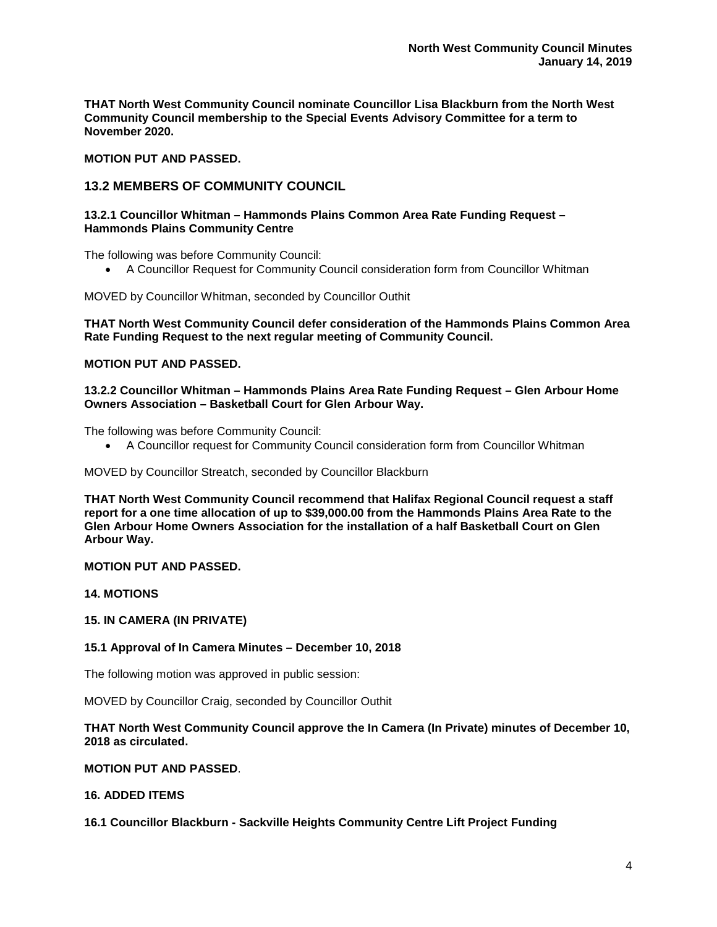**THAT North West Community Council nominate Councillor Lisa Blackburn from the North West Community Council membership to the Special Events Advisory Committee for a term to November 2020.**

# **MOTION PUT AND PASSED.**

# **13.2 MEMBERS OF COMMUNITY COUNCIL**

## **13.2.1 Councillor Whitman – Hammonds Plains Common Area Rate Funding Request – Hammonds Plains Community Centre**

The following was before Community Council:

• A Councillor Request for Community Council consideration form from Councillor Whitman

MOVED by Councillor Whitman, seconded by Councillor Outhit

**THAT North West Community Council defer consideration of the Hammonds Plains Common Area Rate Funding Request to the next regular meeting of Community Council.**

# **MOTION PUT AND PASSED.**

### **13.2.2 Councillor Whitman – Hammonds Plains Area Rate Funding Request – Glen Arbour Home Owners Association – Basketball Court for Glen Arbour Way.**

The following was before Community Council:

• A Councillor request for Community Council consideration form from Councillor Whitman

MOVED by Councillor Streatch, seconded by Councillor Blackburn

**THAT North West Community Council recommend that Halifax Regional Council request a staff report for a one time allocation of up to \$39,000.00 from the Hammonds Plains Area Rate to the Glen Arbour Home Owners Association for the installation of a half Basketball Court on Glen Arbour Way.** 

# **MOTION PUT AND PASSED.**

**14. MOTIONS**

#### **15. IN CAMERA (IN PRIVATE)**

## **15.1 Approval of In Camera Minutes – December 10, 2018**

The following motion was approved in public session:

MOVED by Councillor Craig, seconded by Councillor Outhit

## **THAT North West Community Council approve the In Camera (In Private) minutes of December 10, 2018 as circulated.**

## **MOTION PUT AND PASSED**.

# **16. ADDED ITEMS**

## **16.1 Councillor Blackburn - Sackville Heights Community Centre Lift Project Funding**